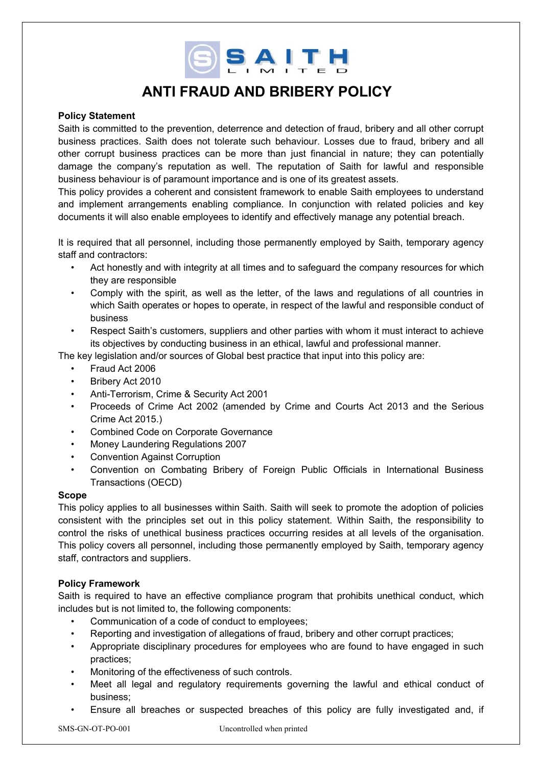SSAITH

# **ANTI FRAUD AND BRIBERY POLICY**

#### **Policy Statement**

Saith is committed to the prevention, deterrence and detection of fraud, bribery and all other corrupt business practices. Saith does not tolerate such behaviour. Losses due to fraud, bribery and all other corrupt business practices can be more than just financial in nature; they can potentially damage the company's reputation as well. The reputation of Saith for lawful and responsible business behaviour is of paramount importance and is one of its greatest assets.

This policy provides a coherent and consistent framework to enable Saith employees to understand and implement arrangements enabling compliance. In conjunction with related policies and key documents it will also enable employees to identify and effectively manage any potential breach.

It is required that all personnel, including those permanently employed by Saith, temporary agency staff and contractors:

- Act honestly and with integrity at all times and to safeguard the company resources for which they are responsible
- Comply with the spirit, as well as the letter, of the laws and regulations of all countries in which Saith operates or hopes to operate, in respect of the lawful and responsible conduct of business
- Respect Saith's customers, suppliers and other parties with whom it must interact to achieve its objectives by conducting business in an ethical, lawful and professional manner.

The key legislation and/or sources of Global best practice that input into this policy are:

- Fraud Act 2006
- Bribery Act 2010
- Anti-Terrorism, Crime & Security Act 2001
- Proceeds of Crime Act 2002 (amended by Crime and Courts Act 2013 and the Serious Crime Act 2015.)
- Combined Code on Corporate Governance
- Money Laundering Regulations 2007
- Convention Against Corruption
- Convention on Combating Bribery of Foreign Public Officials in International Business Transactions (OECD)

### **Scope**

This policy applies to all businesses within Saith. Saith will seek to promote the adoption of policies consistent with the principles set out in this policy statement. Within Saith, the responsibility to control the risks of unethical business practices occurring resides at all levels of the organisation. This policy covers all personnel, including those permanently employed by Saith, temporary agency staff, contractors and suppliers.

### **Policy Framework**

Saith is required to have an effective compliance program that prohibits unethical conduct, which includes but is not limited to, the following components:

- Communication of a code of conduct to employees;
- Reporting and investigation of allegations of fraud, bribery and other corrupt practices;
- Appropriate disciplinary procedures for employees who are found to have engaged in such practices;
- Monitoring of the effectiveness of such controls.
- Meet all legal and regulatory requirements governing the lawful and ethical conduct of business;
- Ensure all breaches or suspected breaches of this policy are fully investigated and, if